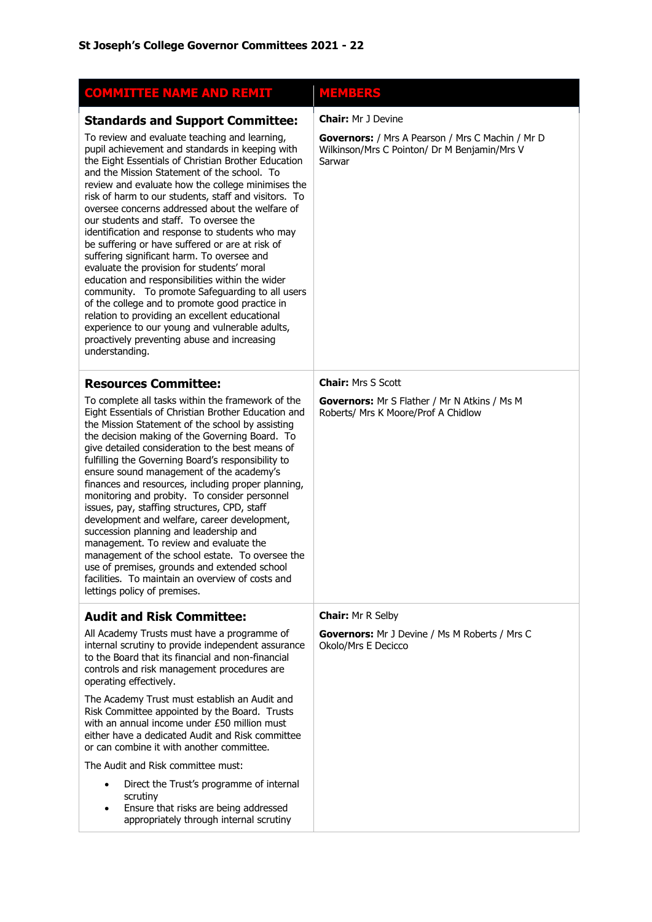| <b>COMMITTEE NAME AND REMIT</b>                                                                                                                                                                                                                                                                                                                                                                                                                                                                                                                                                                                                                                                                                                                                                                                                                                                                                                                                                            | MEMBERS                                                                                                                                 |
|--------------------------------------------------------------------------------------------------------------------------------------------------------------------------------------------------------------------------------------------------------------------------------------------------------------------------------------------------------------------------------------------------------------------------------------------------------------------------------------------------------------------------------------------------------------------------------------------------------------------------------------------------------------------------------------------------------------------------------------------------------------------------------------------------------------------------------------------------------------------------------------------------------------------------------------------------------------------------------------------|-----------------------------------------------------------------------------------------------------------------------------------------|
| <b>Standards and Support Committee:</b><br>To review and evaluate teaching and learning,<br>pupil achievement and standards in keeping with<br>the Eight Essentials of Christian Brother Education<br>and the Mission Statement of the school. To<br>review and evaluate how the college minimises the<br>risk of harm to our students, staff and visitors. To<br>oversee concerns addressed about the welfare of<br>our students and staff. To oversee the<br>identification and response to students who may<br>be suffering or have suffered or are at risk of<br>suffering significant harm. To oversee and<br>evaluate the provision for students' moral<br>education and responsibilities within the wider<br>community. To promote Safeguarding to all users<br>of the college and to promote good practice in<br>relation to providing an excellent educational<br>experience to our young and vulnerable adults,<br>proactively preventing abuse and increasing<br>understanding. | <b>Chair: Mr J Devine</b><br>Governors: / Mrs A Pearson / Mrs C Machin / Mr D<br>Wilkinson/Mrs C Pointon/ Dr M Benjamin/Mrs V<br>Sarwar |
| <b>Resources Committee:</b><br>To complete all tasks within the framework of the<br>Eight Essentials of Christian Brother Education and<br>the Mission Statement of the school by assisting<br>the decision making of the Governing Board. To<br>give detailed consideration to the best means of<br>fulfilling the Governing Board's responsibility to<br>ensure sound management of the academy's<br>finances and resources, including proper planning,<br>monitoring and probity. To consider personnel<br>issues, pay, staffing structures, CPD, staff<br>development and welfare, career development,<br>succession planning and leadership and<br>management. To review and evaluate the<br>management of the school estate. To oversee the<br>use of premises, grounds and extended school<br>facilities. To maintain an overview of costs and<br>lettings policy of premises.                                                                                                      | <b>Chair: Mrs S Scott</b><br><b>Governors:</b> Mr S Flather / Mr N Atkins / Ms M<br>Roberts/ Mrs K Moore/Prof A Chidlow                 |
| <b>Audit and Risk Committee:</b><br>All Academy Trusts must have a programme of<br>internal scrutiny to provide independent assurance<br>to the Board that its financial and non-financial<br>controls and risk management procedures are<br>operating effectively.<br>The Academy Trust must establish an Audit and<br>Risk Committee appointed by the Board. Trusts<br>with an annual income under £50 million must<br>either have a dedicated Audit and Risk committee<br>or can combine it with another committee.<br>The Audit and Risk committee must:<br>Direct the Trust's programme of internal<br>$\bullet$<br>scrutiny<br>Ensure that risks are being addressed<br>$\bullet$<br>appropriately through internal scrutiny                                                                                                                                                                                                                                                         | <b>Chair: Mr R Selby</b><br><b>Governors:</b> Mr J Devine / Ms M Roberts / Mrs C<br>Okolo/Mrs E Decicco                                 |